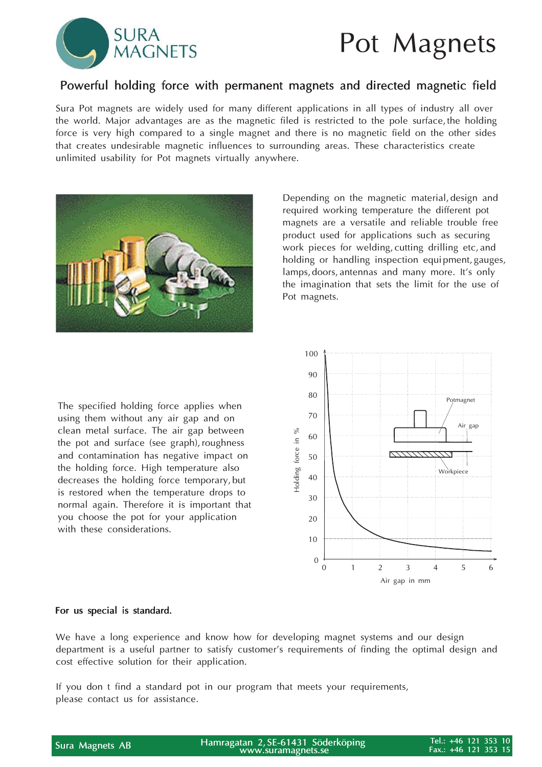

### Pot Magnets

### Powerful holding force with permanent magnets and directed magnetic field

Sura Pot magnets are widely used for many different applications in all types of industry all over the world. Major advantages are as the magnetic filed is restricted to the pole surface, the holding force is very high compared to a single magnet and there is no magnetic field on the other sides that creates undesirable magnetic influences to surrounding areas. These characteristics create unlimited usability for Pot magnets virtually anywhere.



Depending on the magnetic material, design and required working temperature the different pot magnets are a versatile and reliable trouble free product used for applications such as securing work pieces for welding, cutting drilling etc, and holding or handling inspection equipment, gauges, lamps, doors, antennas and many more. It's only the imagination that sets the limit for the use of Pot magnets.

The specified holding force applies when using them without any air gap and on clean metal surface. The air gap between the pot and surface (see graph), roughness and contamination has negative impact on the holding force. High temperature also decreases the holding force temporary, but is restored when the temperature drops to normal again. Therefore it is important that you choose the pot for your application with these considerations.



#### For us special is standard.

We have a long experience and know how for developing magnet systems and our design department is a useful partner to satisfy customer's requirements of finding the optimal design and cost effective solution for their application.

If you don t find a standard pot in our program that meets your requirements, please contact us for assistance.

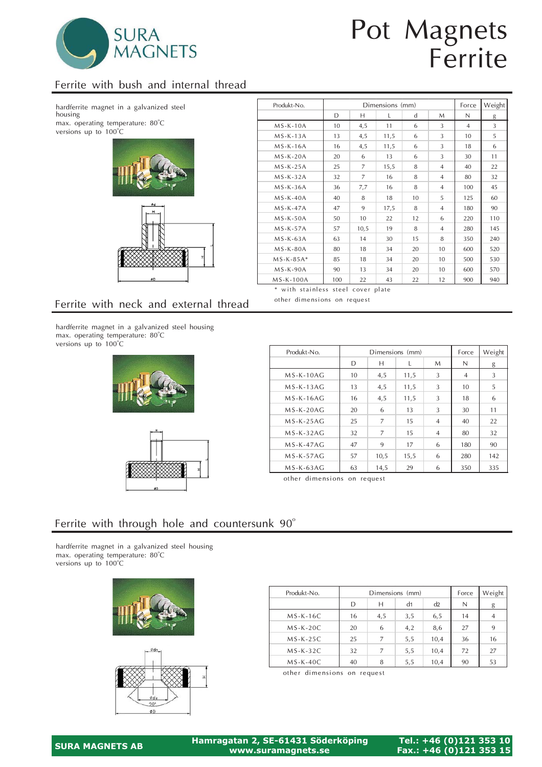

# Pot Magnets Ferrite

### Ferrite with bush and internal thread

hardferrite magnet in a galvanized steel housing max. operating temperature: 80°C versions up to 100 o  $\rm ^{\circ}C$ 



| Produkt-No. |     |      | Dimensions (mm) |             |                | Force          | Weight         |
|-------------|-----|------|-----------------|-------------|----------------|----------------|----------------|
|             | D   | Н    | L               | $\mathbf d$ | M              | N              | g              |
| $MS-K-10A$  | 10  | 4,5  | 11              | 6           | 3              | $\overline{4}$ | $\overline{3}$ |
| $MS-K-13A$  | 13  | 4,5  | 11,5            | 6           | 3              | 10             | 5              |
| $MS-K-16A$  | 16  | 4,5  | 11,5            | 6           | 3              | 18             | 6              |
| $MS-K-20A$  | 20  | 6    | 13              | 6           | 3              | 30             | 11             |
| $MS-K-25A$  | 25  | 7    | 15,5            | 8           | $\overline{4}$ | 40             | 22             |
| $MS-K-32A$  | 32  | 7    | 16              | 8           | $\overline{4}$ | 80             | 32             |
| $MS-K-36A$  | 36  | 7,7  | 16              | 8           | $\overline{4}$ | 100            | 45             |
| $MS-K-40A$  | 40  | 8    | 18              | 10          | 5              | 125            | 60             |
| $MS-K-47A$  | 47  | 9    | 17,5            | 8           | $\overline{4}$ | 180            | 90             |
| $MS-K-50A$  | 50  | 10   | 22              | 12          | 6              | 220            | 110            |
| $MS-K-57A$  | 57  | 10,5 | 19              | 8           | $\overline{4}$ | 280            | 145            |
| $MS-K-63A$  | 63  | 14   | 30              | 15          | 8              | 350            | 240            |
| $MS-K-80A$  | 80  | 18   | 34              | 20          | 10             | 600            | 520            |
| $MS-K-85A*$ | 85  | 18   | 34              | 20          | 10             | 500            | 530            |
| $MS-K-90A$  | 90  | 13   | 34              | 20          | 10             | 600            | 570            |
| $MS-K-100A$ | 100 | 22   | 43              | 22          | 12             | 900            | 940            |

\* with stainless steel cover plate other dimensions on request

### Ferrite with neck and external thread

hardferrite magnet in a galvanized steel housing max. operating temperature: 80°C versions up to  $100^{\circ}$ C





| Produkt-No. |    | Dimensions (mm) |      | Force          | Weight         |     |
|-------------|----|-----------------|------|----------------|----------------|-----|
|             | D  | Н               |      | M              | N              | g   |
| $MS-K-10AG$ | 10 | 4,5             | 11,5 | 3              | $\overline{4}$ | 3   |
| $MS-K-13AG$ | 13 | 4,5             | 11,5 | 3              | 10             | 5   |
| $MS-K-16AG$ | 16 | 4,5             | 11,5 | 3              | 18             | 6   |
| $MS-K-20AG$ | 20 | 6               | 13   | 3              | 30             | 11  |
| $MS-K-25AC$ | 25 | 7               | 15   | $\overline{4}$ | 40             | 22  |
| $MS-K-32AG$ | 32 | 7               | 15   | $\overline{4}$ | 80             | 32  |
| $MS-K-47AG$ | 47 | 9               | 17   | 6              | 180            | 90  |
| $MS-K-57AG$ | 57 | 10,5            | 15,5 | 6              | 280            | 142 |
| $MS-K-63AC$ | 63 | 14,5            | 29   | 6              | 350            | 335 |

other dimensions on request

#### Ferrite with through hole and countersunk  $90^\circ$

hardferrite magnet in a galvanized steel housing max. operating temperature: 80°C versions up to 100°C





| Produkt-No. |    | Dimensions (mm) | Force | Weight |    |                |
|-------------|----|-----------------|-------|--------|----|----------------|
|             | D  | Н               | N     | g      |    |                |
| $MS-K-16C$  | 16 | 4,5             | 3,5   | 6,5    | 14 | $\overline{4}$ |
| $MS-K-20C$  | 20 | 6               | 4,2   | 8,6    | 27 | 9              |
| $MS-K-25C$  | 25 |                 | 5,5   | 10,4   | 36 | 16             |
| $MS-K-32C$  | 32 | 7               | 5,5   | 10,4   | 72 | 27             |
| $MS-K-40C$  | 40 | 8               | 5,5   | 10,4   | 90 | 53             |

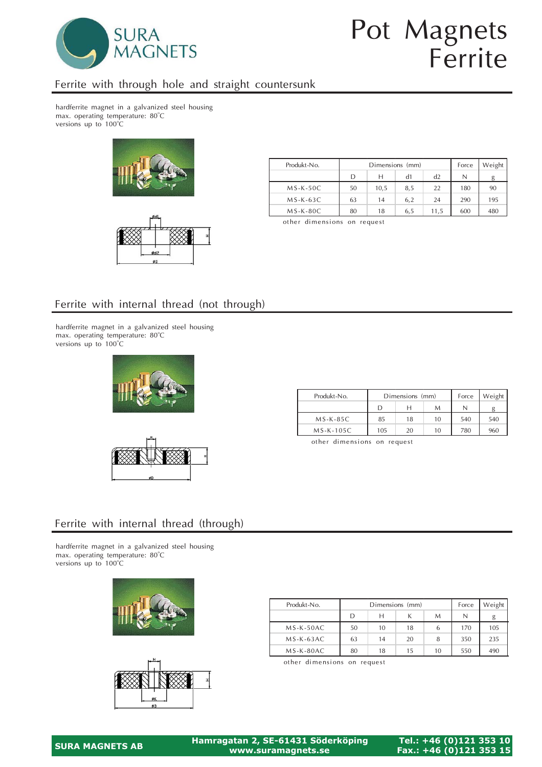

# Pot Magnets Ferrite

### Ferrite with through hole and straight countersunk

hardferrite magnet in a galvanized steel housing max. operating temperature: 80°C versions up to  $100^{\circ}$ C





| Produkt-No. |    | Dimensions (mm) | Force | Weight |     |     |
|-------------|----|-----------------|-------|--------|-----|-----|
|             | D  | н               | N     | g      |     |     |
| $MS-K-50C$  | 50 | 10.5            | 8.5   | 22     | 180 | 90  |
| $MS-K-63C$  | 63 | 14              | 6.2   | 24     | 290 | 195 |
| $MS-K-80C$  | 80 | 18              | 6.5   | 11,5   | 600 | 480 |

other dimensions on request

### Ferrite with internal thread (not through)

hardferrite magnet in a galvanized steel housing max. operating temperature: 80°C versions up to 100°C





| Produkt-No. |     | Dimensions (mm) | Force | Weight |     |
|-------------|-----|-----------------|-------|--------|-----|
|             |     |                 |       |        |     |
| $MS-K-85C$  | 85  | 18              | 10    | 540    | 540 |
| $MS-K-105C$ | 105 | 20              | 780   | 960    |     |

other dimensions on request

### Ferrite with internal thread (through)

hardferrite magnet in a galvanized steel housing max. operating temperature: 80°C versions up to 100°C





| Produkt-No. |    | Dimensions (mm) | Force | Weight |     |     |
|-------------|----|-----------------|-------|--------|-----|-----|
|             | D  | н               | N     |        |     |     |
| $MS-K-50AC$ | 50 | 10              | 18    | 6      | 170 | 105 |
| $MS-K-63AC$ | 63 | 14              | 20    | 8      | 350 | 235 |
| $MS-K-80AC$ | 80 | 18              | 15    | 10     | 550 | 490 |

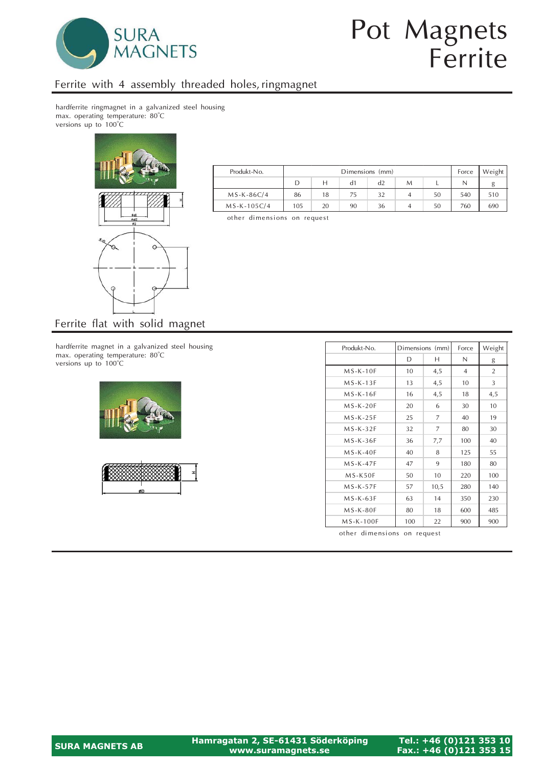

# Pot Magnets Ferrite

### Ferrite with 4 assembly threaded holes, ringmagnet

hardferrite ringmagnet in a galvanized steel housing max. operating temperature: 80°C versions up to 100°C



| Produkt-No.   |     | Dimensions (mm)      |    |    |  |    |     | Weight |
|---------------|-----|----------------------|----|----|--|----|-----|--------|
|               | D   | d2<br>M              |    |    |  |    |     | g      |
| $MS-K-86C/4$  | 86  | 18                   | 75 | 32 |  | 50 | 540 | 510    |
| $MS-K-105C/4$ | 105 | 20<br>50<br>90<br>36 |    |    |  |    |     | 690    |

other dimensions on request

hardferrite magnet in a galvanized steel housing

max. operating temperature:  $80^{\circ}$ C versions up to 100°C o o





| Produkt-No. |     | Dimensions (mm) | Force          | Weight         |
|-------------|-----|-----------------|----------------|----------------|
|             | D   | Н               | N              | g              |
| $MS-K-10F$  | 10  | 4,5             | $\overline{4}$ | $\overline{2}$ |
| $MS-K-13F$  | 13  | 4,5             | 10             | 3              |
| $MS-K-16F$  | 16  | 4,5             | 18             | 4,5            |
| $MS-K-20F$  | 20  | 6               | 30             | 10             |
| $MS-K-25F$  | 25  | 7               | 40             | 19             |
| $MS-K-32F$  | 32  | 7               | 80             | 30             |
| $MS-K-36F$  | 36  | 7,7             | 100            | 40             |
| $MS-K-40F$  | 40  | 8               | 125            | 55             |
| $MS-K-47F$  | 47  | 9               | 180            | 80             |
| $MS-K50F$   | 50  | 10              | 220            | 100            |
| $MS-K-57F$  | 57  | 10,5            | 280            | 140            |
| $MS-K-63F$  | 63  | 14              | 350            | 230            |
| $MS-K-80F$  | 80  | 18              | 600            | 485            |
| MS-K-100F   | 100 | 22              | 900            | 900            |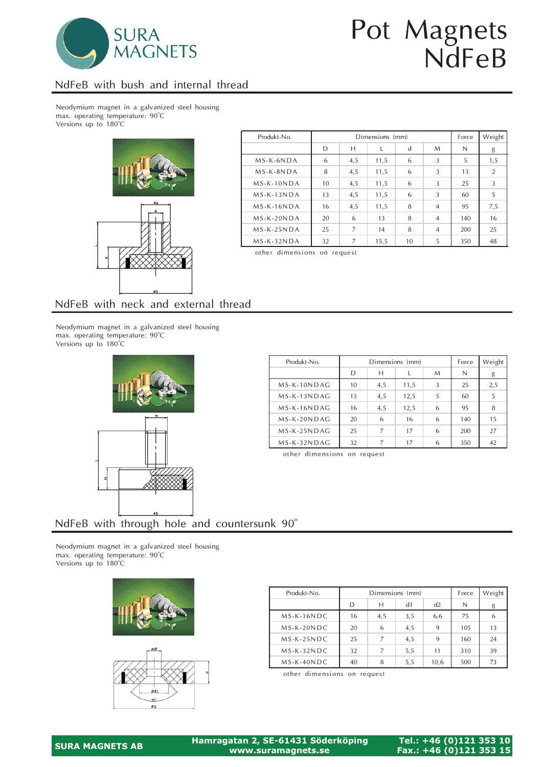

# Pot Magnets NdFeB

### NdFeB with bush and internal thread

Neodymium magnet in a galvanized steel housing max. operating temperature: 90°C Versions up to 180°C



| Produkt-No.  |    |     | Dimensions (mm) |    |                | Force | Weight |
|--------------|----|-----|-----------------|----|----------------|-------|--------|
|              | D  | Н   |                 | d  | M              | N     | g      |
| $MS-K-6NDA$  | 6  | 4,5 | 11,5            | 6  | 3              | 5     | 1,5    |
| $MS-K-8NDA$  | 8  | 4,5 | 11,5            | 6  | 3              | 13    | 2      |
| $MS-K-10NDA$ | 10 | 4,5 | 11,5            | 6  | 3              | 25    | 3      |
| $MS-K-13NDA$ | 13 | 4,5 | 11,5            | 6  | 3              | 60    | 5      |
| $MS-K-16NDA$ | 16 | 4,5 | 11,5            | 8  | $\overline{4}$ | 95    | 7,5    |
| $MS-K-20NDA$ | 20 | 6   | 13              | 8  | $\overline{4}$ | 140   | 16     |
| $MS-K-25NDA$ | 25 | 7   | 14              | 8  | $\overline{4}$ | 200   | 25     |
| $MS-K-32NDA$ | 32 | 7   | 15,5            | 10 | 5              | 350   | 48     |

other dimensions on request

#### NdFeB with neck and external thread

Neodymium magnet in a galvanized steel housing max. operating temperature: 90°C Versions up to 180°C



| Produkt-No.    |    | Dimensions (mm) |      | Force | Weight |     |
|----------------|----|-----------------|------|-------|--------|-----|
|                | D  | н               |      | M     | N      | g   |
| MS-K-10NDAG    | 10 | 4,5             | 11,5 | 3     | 25     | 2,5 |
| MS-K-13NDAG    | 13 | 4,5             | 12,5 | 5     | 60     | 5   |
| MS-K-16NDAG    | 16 | 4,5             | 12,5 | 6     | 95     | 8   |
| $MS-K-20N DAG$ | 20 | 6               | 16   | 6     | 140    | 15  |
| $MS-K-25NDAG$  | 25 | $\overline{7}$  | 17   | 6     | 200    | 27  |
| $MS-K-32NDAG$  | 32 |                 | 17   | 6     | 350    | 42  |

other dimensions on request

### NdFeB with through hole and countersunk  $90^\circ$

Neodymium magnet in a galvanized steel housing max. operating temperature: 90°C Versions up to 180°C





| Produkt-No.  |    | Dimensions (mm) | Force | Weight |     |    |
|--------------|----|-----------------|-------|--------|-----|----|
|              | D  | н               | d1    | d2     | Ν   | g  |
| $MS-K-16NDC$ | 16 | 4,5             | 3,5   | 6,6    | 75  | 6  |
| $MS-K-20NDC$ | 20 | 6               | 4,5   | 9      | 105 | 13 |
| $MS-K-25NDC$ | 25 | 7               | 4,5   | 9      | 160 | 24 |
| $MS-K-32NDC$ | 32 |                 | 5,5   | 11     | 310 | 39 |
| $MS-K-40NDC$ | 40 | 8               | 5,5   | 10,6   | 500 | 73 |

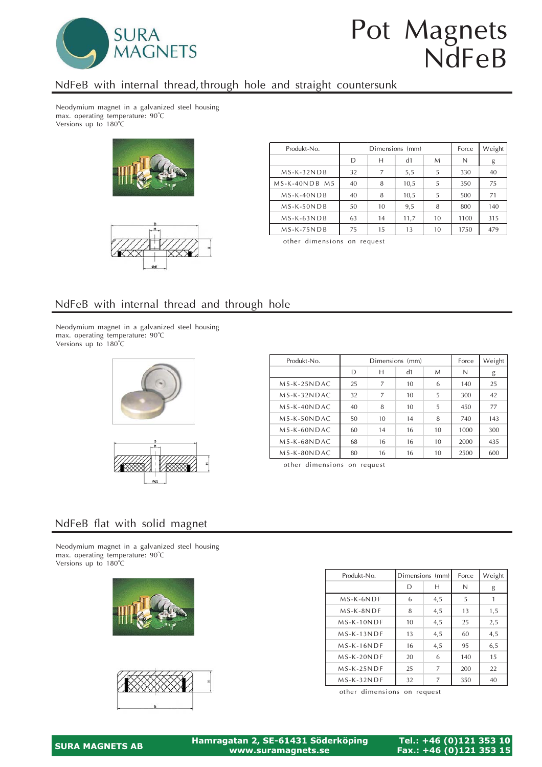

# Pot Magnets NdFeB

### NdFeB with internal thread, through hole and straight countersunk

Neodymium magnet in a galvanized steel housing max. operating temperature: 90°C Versions up to 180°C





| Produkt-No.   |    | Dimensions (mm) | Force | Weight |      |     |
|---------------|----|-----------------|-------|--------|------|-----|
|               | D  | Н               | N     | g      |      |     |
| $MS-K-32NDB$  | 32 | 7               | 5,5   | 5      | 330  | 40  |
| MS-K-40NDB M5 | 40 | 8               | 10,5  | 5      | 350  | 75  |
| $MS-K-40NDB$  | 40 | 8               | 10,5  | 5      | 500  | 71  |
| $MS-K-50NDB$  | 50 | 10              | 9,5   | 8      | 800  | 140 |
| $MS-K-63NDB$  | 63 | 14              | 11,7  | 10     | 1100 | 315 |
| $MS-K-75NDB$  | 75 | 15              | 13    | 10     | 1750 | 479 |

other dimensions on request

#### NdFeB with internal thread and through hole

Neodymium magnet in a galvanized steel housing max. operating temperature: 90°C Versions up to 180°C





| Produkt-No.   | Dimensions (mm) |    |    |                 | Force | Weight |
|---------------|-----------------|----|----|-----------------|-------|--------|
|               | D               | Н  | d1 | M               | N     | g      |
| $MS-K-25NDAC$ | 25              | 7  | 10 | 6               | 140   | 25     |
| $MS-K-32NDAC$ | 32              | 7  | 10 | 5               | 300   | 42     |
| $MS-K-40NDAC$ | 40              | 8  | 10 | 5               | 450   | 77     |
| $MS-K-50NDAC$ | 50              | 10 | 14 | 8               | 740   | 143    |
| $MS-K-60NDAC$ | 60              | 14 | 16 | 10 <sup>1</sup> | 1000  | 300    |
| MS-K-68NDAC   | 68              | 16 | 16 | 10 <sup>1</sup> | 2000  | 435    |
| $MS-K-80NDAC$ | 80              | 16 | 16 | 10              | 2500  | 600    |

other dimensions on request

#### NdFeB flat with solid magnet

Neodymium magnet in a galvanized steel housing max. operating temperature: 90°C Versions up to 180°C





| Produkt-No.  |    | Dimensions (mm) | Force | Weight |
|--------------|----|-----------------|-------|--------|
|              | D  | н               | N     | g      |
| $MS-K-6NDF$  | 6  | 4,5             | 5     |        |
| $MS-K-8NDF$  | 8  | 4,5             | 13    | 1,5    |
| $MS-K-10NDF$ | 10 | 4,5             | 25    | 2,5    |
| $MS-K-13NDF$ | 13 | 4,5             | 60    | 4,5    |
| $MS-K-16NDF$ | 16 | 4,5             | 95    | 6,5    |
| $MS-K-20NDF$ | 20 | 6               | 140   | 15     |
| $MS-K-25NDF$ | 25 | 7               | 200   | 22     |
| $MS-K-32NDF$ | 32 | 7               | 350   | 40     |

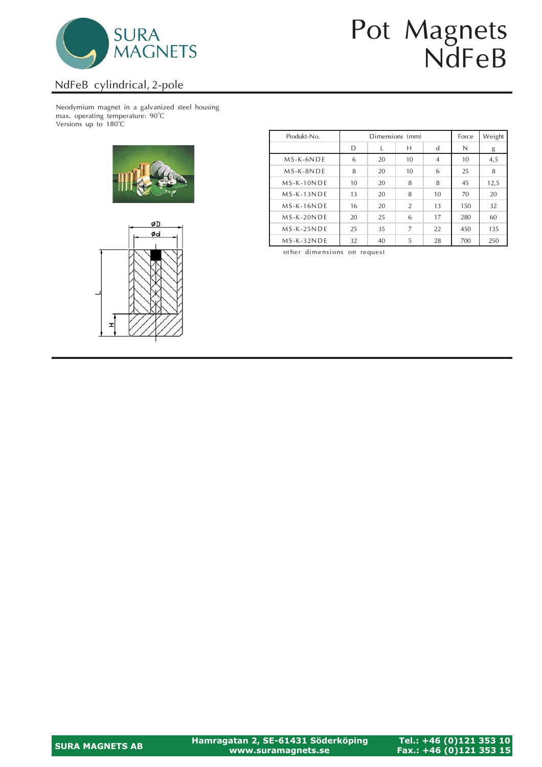

# Pot Magnets NdFeB

#### NdFeB cylindrical, 2-pole

Neodymium magnet in a galvanized steel housing max. operating temperature: 90°C Versions up to 180°C





| Produkt-No.  |    | Dimensions (mm) | Force          | Weight         |     |      |
|--------------|----|-----------------|----------------|----------------|-----|------|
|              | D  |                 | Н              | d              | N   | g    |
| $MS-K-6NDE$  | 6  | 20              | 10             | $\overline{4}$ | 10  | 4,5  |
| $MS-K-8NDE$  | 8  | 20              | 10             | 6              | 25  | 8    |
| $MS-K-10NDE$ | 10 | 20              | 8              | 8              | 45  | 12,5 |
| $MS-K-13NDE$ | 13 | 20              | 8              | 10             | 70  | 20   |
| $MS-K-16NDE$ | 16 | 20              | $\overline{2}$ | 13             | 150 | 32   |
| $MS-K-20NDE$ | 20 | 25              | 6              | 17             | 280 | 60   |
| $MS-K-25NDE$ | 25 | 35              | 7              | 22             | 450 | 135  |
| $MS-K-32NDE$ | 32 | 40              | 5              | 28             | 700 | 250  |